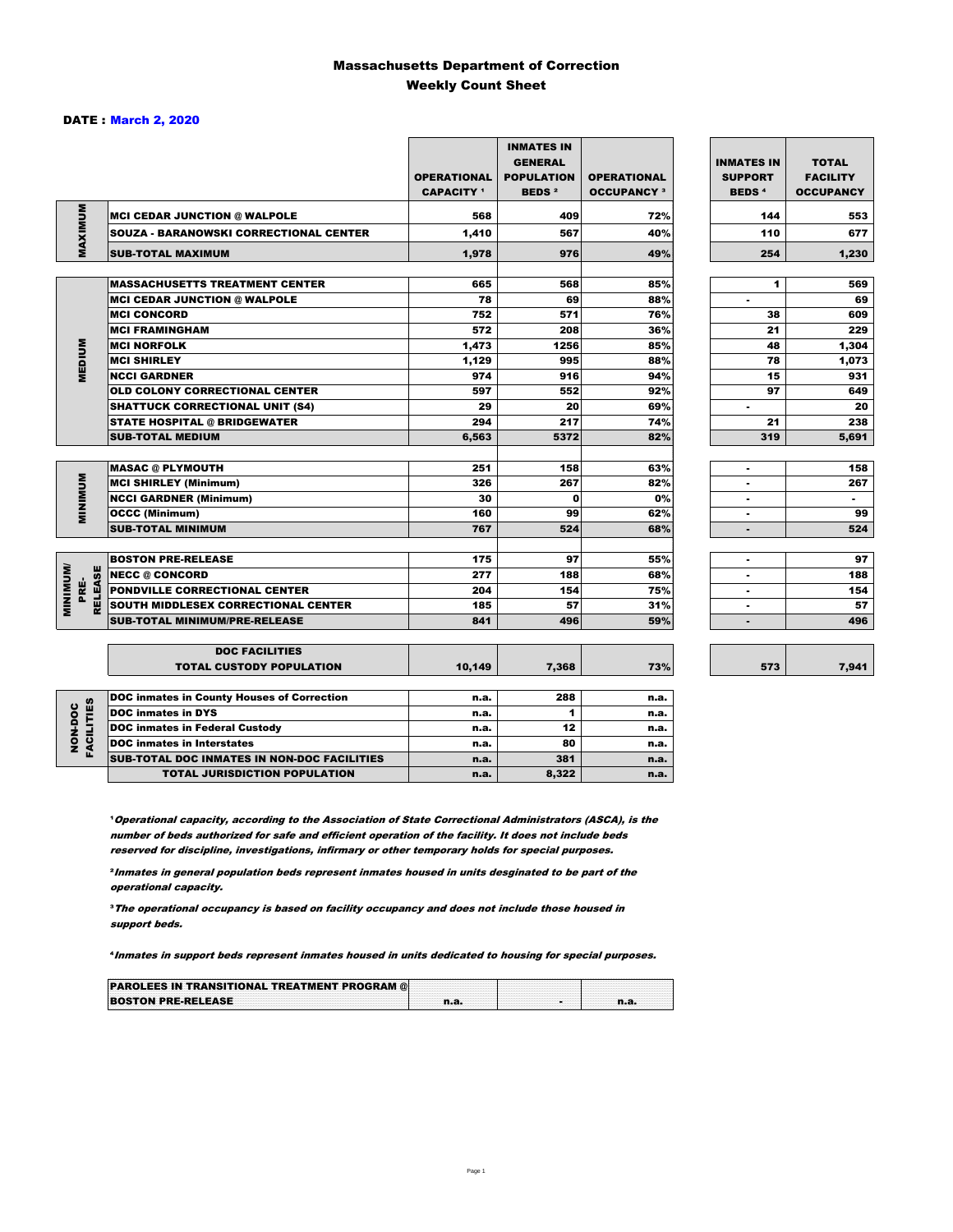### Massachusetts Department of Correction Weekly Count Sheet

### DATE : March 2, 2020

|                                   |                                               | <b>OPERATIONAL</b><br><b>CAPACITY 1</b> | <b>INMATES IN</b><br><b>GENERAL</b><br><b>POPULATION</b><br><b>BEDS<sup>2</sup></b> | <b>OPERATIONAL</b><br><b>OCCUPANCY 3</b> | <b>INMATES IN</b><br><b>SUPPORT</b><br><b>BEDS<sup>4</sup></b> | <b>TOTAL</b><br><b>FACILITY</b><br><b>OCCUPANCY</b> |
|-----------------------------------|-----------------------------------------------|-----------------------------------------|-------------------------------------------------------------------------------------|------------------------------------------|----------------------------------------------------------------|-----------------------------------------------------|
| MAXIMUM                           | <b>MCI CEDAR JUNCTION @ WALPOLE</b>           | 568                                     | 409                                                                                 | 72%                                      | 144                                                            | 553                                                 |
|                                   | <b>SOUZA - BARANOWSKI CORRECTIONAL CENTER</b> | 1,410                                   | 567                                                                                 | 40%                                      | 110                                                            | 677                                                 |
|                                   | <b>SUB-TOTAL MAXIMUM</b>                      | 1,978                                   | 976                                                                                 | 49%                                      | 254                                                            | 1,230                                               |
|                                   |                                               |                                         |                                                                                     |                                          |                                                                |                                                     |
|                                   | <b>MASSACHUSETTS TREATMENT CENTER</b>         | 665                                     | 568                                                                                 | 85%                                      | 1                                                              | 569                                                 |
|                                   | <b>MCI CEDAR JUNCTION @ WALPOLE</b>           | 78                                      | 69                                                                                  | 88%                                      | ٠                                                              | 69                                                  |
|                                   | <b>MCI CONCORD</b>                            | 752                                     | 571                                                                                 | 76%                                      | 38                                                             | 609                                                 |
|                                   | <b>MCI FRAMINGHAM</b>                         | 572                                     | 208                                                                                 | 36%                                      | 21                                                             | 229                                                 |
| <b>MEDIUM</b>                     | <b>MCI NORFOLK</b>                            | 1,473                                   | 1256                                                                                | 85%                                      | 48                                                             | 1,304                                               |
|                                   | <b>MCI SHIRLEY</b>                            | 1,129                                   | 995                                                                                 | 88%                                      | 78                                                             | 1,073                                               |
|                                   | <b>NCCI GARDNER</b>                           | 974                                     | 916                                                                                 | 94%                                      | 15                                                             | 931                                                 |
|                                   | <b>OLD COLONY CORRECTIONAL CENTER</b>         | 597                                     | 552                                                                                 | 92%                                      | 97                                                             | 649                                                 |
|                                   | <b>SHATTUCK CORRECTIONAL UNIT (S4)</b>        | 29                                      | 20                                                                                  | 69%                                      | ٠                                                              | 20                                                  |
|                                   | <b>STATE HOSPITAL @ BRIDGEWATER</b>           | 294                                     | 217                                                                                 | 74%                                      | 21                                                             | 238                                                 |
|                                   | <b>SUB-TOTAL MEDIUM</b>                       | 6,563                                   | 5372                                                                                | 82%                                      | 319                                                            | 5.691                                               |
|                                   | <b>MASAC @ PLYMOUTH</b>                       | 251                                     | 158                                                                                 | 63%                                      | ٠                                                              | 158                                                 |
| <b>MINIMUM</b>                    | <b>MCI SHIRLEY (Minimum)</b>                  | 326                                     | 267                                                                                 | 82%                                      |                                                                | 267                                                 |
|                                   | <b>NCCI GARDNER (Minimum)</b>                 | 30                                      | 0                                                                                   | 0%                                       | $\overline{a}$                                                 | $\sim$                                              |
|                                   | <b>OCCC (Minimum)</b>                         | 160                                     | 99                                                                                  | 62%                                      | ٠                                                              | 99                                                  |
|                                   | <b>SUB-TOTAL MINIMUM</b>                      | 767                                     | 524                                                                                 | 68%                                      |                                                                | 524                                                 |
|                                   |                                               |                                         |                                                                                     |                                          |                                                                |                                                     |
|                                   | <b>BOSTON PRE-RELEASE</b>                     | 175                                     | 97                                                                                  | 55%                                      | $\blacksquare$                                                 | 97                                                  |
| <b>MINIMINU</b><br><b>RELEASE</b> | <b>NECC @ CONCORD</b>                         | 277                                     | 188                                                                                 | 68%                                      |                                                                | 188                                                 |
| PRE-                              | PONDVILLE CORRECTIONAL CENTER                 | 204                                     | 154                                                                                 | 75%                                      | ٠                                                              | 154                                                 |
|                                   | SOUTH MIDDLESEX CORRECTIONAL CENTER           | 185                                     | 57                                                                                  | 31%                                      | ٠                                                              | 57                                                  |
|                                   | <b>SUB-TOTAL MINIMUM/PRE-RELEASE</b>          | 841                                     | 496                                                                                 | 59%                                      | ٠                                                              | 496                                                 |
|                                   | <b>DOC FACILITIES</b>                         |                                         |                                                                                     |                                          |                                                                |                                                     |
|                                   | <b>TOTAL CUSTODY POPULATION</b>               | 10,149                                  | 7,368                                                                               | 73%                                      | 573                                                            | 7,941                                               |
|                                   | DOC inmates in County Houses of Correction    | n.a.                                    | 288                                                                                 | n.a.                                     |                                                                |                                                     |
|                                   | <b>DOC</b> inmates in DYS                     | n.a.                                    | 1                                                                                   | n.a.                                     |                                                                |                                                     |
|                                   | <b>DOC inmates in Federal Custody</b>         | n.a.                                    | 12                                                                                  | n.a.                                     |                                                                |                                                     |
| FACILITIES<br>NON-DOC             | <b>DOC</b> inmates in Interstates             | n.a.                                    | 80                                                                                  | n.a.                                     |                                                                |                                                     |
|                                   | CUR TOTAL BOO INIAATES IN NON BOO FAQUITIES   |                                         | 0.04                                                                                |                                          |                                                                |                                                     |

7,941

**Operational capacity, according to the Association of State Correctional Administrators (ASCA), is the** number of beds authorized for safe and efficient operation of the facility. It does not include beds reserved for discipline, investigations, infirmary or other temporary holds for special purposes.

SUB-TOTAL DOC INMATES IN NON-DOC FACILITIES n.a. 381 a.m.a.

TOTAL JURISDICTION POPULATION **n.a.** 8,322 n.a.

²Inmates in general population beds represent inmates housed in units desginated to be part of the operational capacity.

³The operational occupancy is based on facility occupancy and does not include those housed in support beds.

⁴Inmates in support beds represent inmates housed in units dedicated to housing for special purposes.

| <b>PAROLEES IN TRANSITIONAL TREATMENT PROGRAM @</b> |  |  |
|-----------------------------------------------------|--|--|
| <b>BOSTON PRE-RELEASE</b>                           |  |  |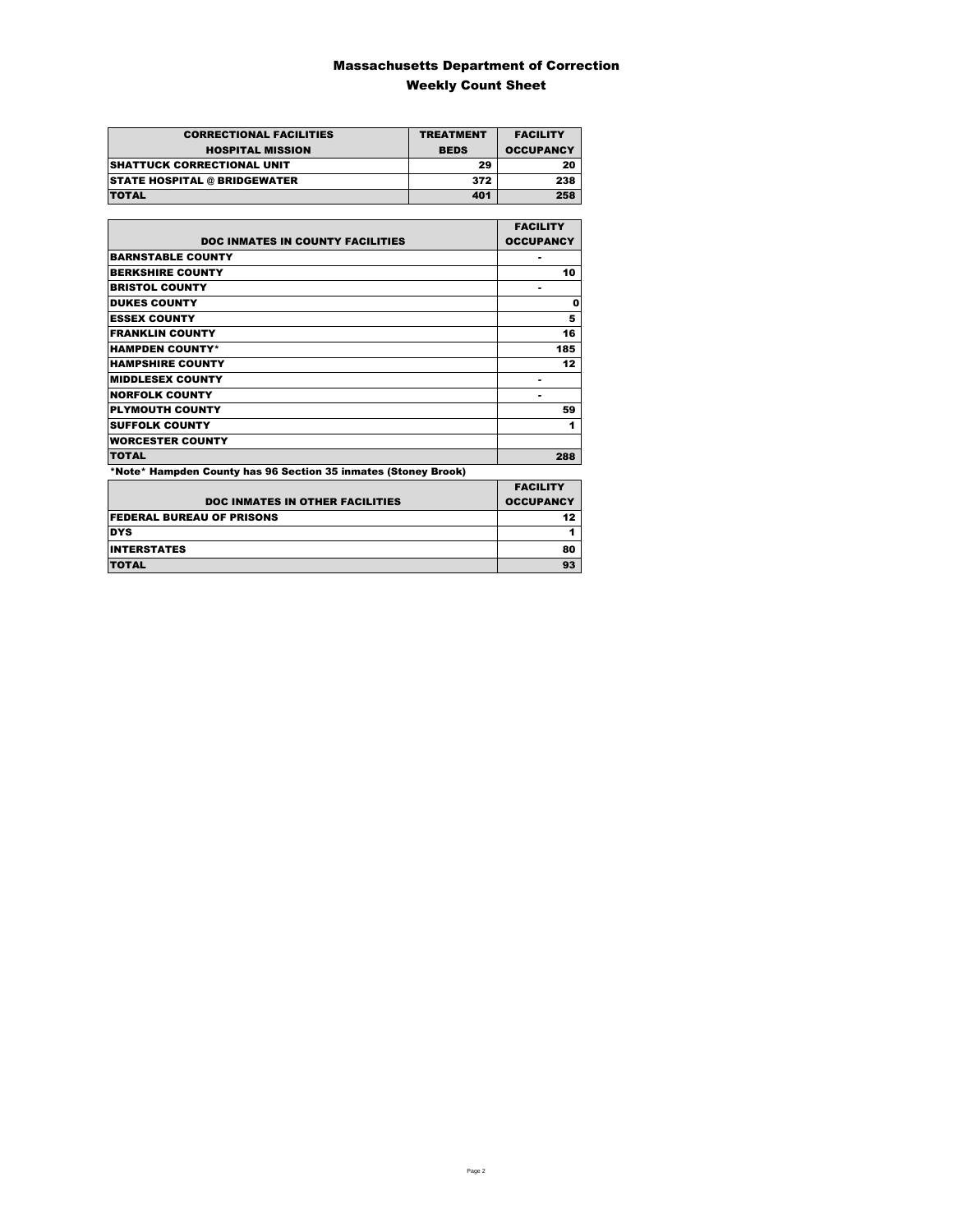### Massachusetts Department of Correction Weekly Count Sheet

| <b>CORRECTIONAL FACILITIES</b>      | <b>TREATMENT</b> | <b>FACILITY</b>  |
|-------------------------------------|------------------|------------------|
| <b>HOSPITAL MISSION</b>             | <b>BEDS</b>      | <b>OCCUPANCY</b> |
| <b>SHATTUCK CORRECTIONAL UNIT</b>   | 29               | 20               |
| <b>STATE HOSPITAL @ BRIDGEWATER</b> | 372              | 238              |
| <b>TOTAL</b>                        | 401              | 258              |

|                                                                | <b>FACILITY</b>  |
|----------------------------------------------------------------|------------------|
| <b>DOC INMATES IN COUNTY FACILITIES</b>                        | <b>OCCUPANCY</b> |
| <b>BARNSTABLE COUNTY</b>                                       |                  |
| <b>BERKSHIRE COUNTY</b>                                        | 10               |
| <b>BRISTOL COUNTY</b>                                          | ۰                |
| <b>DUKES COUNTY</b>                                            | 0                |
| <b>ESSEX COUNTY</b>                                            | 5                |
| <b>FRANKLIN COUNTY</b>                                         | 16               |
| <b>HAMPDEN COUNTY*</b>                                         | 185              |
| <b>HAMPSHIRE COUNTY</b>                                        | 12               |
| <b>MIDDLESEX COUNTY</b>                                        |                  |
| <b>NORFOLK COUNTY</b>                                          |                  |
| <b>PLYMOUTH COUNTY</b>                                         | 59               |
| <b>SUFFOLK COUNTY</b>                                          | 1                |
| <b>WORCESTER COUNTY</b>                                        |                  |
| <b>TOTAL</b>                                                   | 288              |
| *Note* Hampden County has 96 Section 35 inmates (Stoney Brook) |                  |

|                                        | <b>FACILITY</b>  |
|----------------------------------------|------------------|
| <b>DOC INMATES IN OTHER FACILITIES</b> | <b>OCCUPANCY</b> |
| <b>FEDERAL BUREAU OF PRISONS</b>       | 12               |
| <b>DYS</b>                             |                  |
| <b>INTERSTATES</b>                     | 80               |
| <b>TOTAL</b>                           | 93               |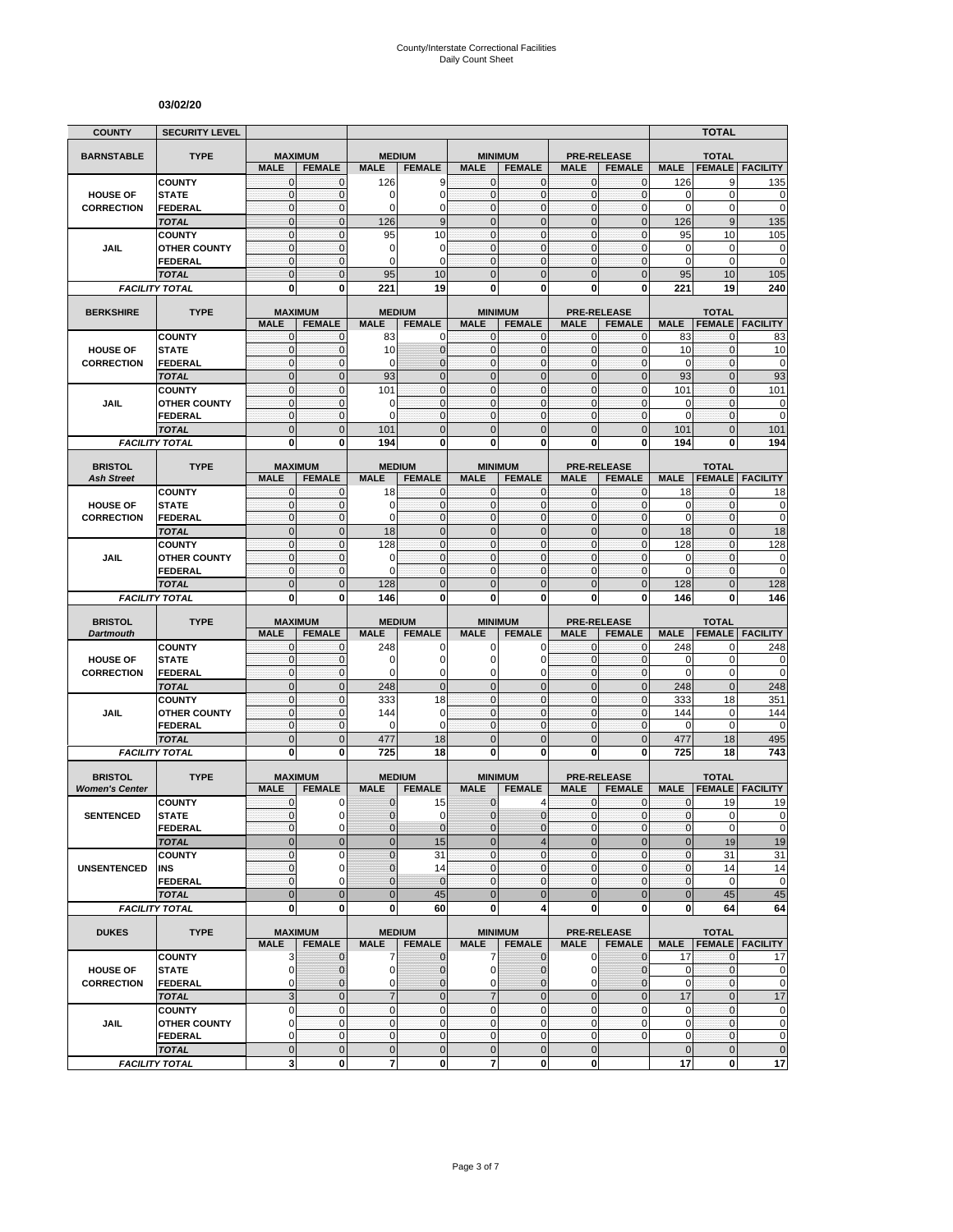#### **03/02/20**

| <b>COUNTY</b>                           | <b>SECURITY LEVEL</b>                 |                                |                              |                              |                                  |                                |                                 |                              |                                     |                            | <b>TOTAL</b>                  |                                                                                    |
|-----------------------------------------|---------------------------------------|--------------------------------|------------------------------|------------------------------|----------------------------------|--------------------------------|---------------------------------|------------------------------|-------------------------------------|----------------------------|-------------------------------|------------------------------------------------------------------------------------|
| <b>BARNSTABLE</b>                       | <b>TYPE</b>                           | <b>MAXIMUM</b>                 |                              | <b>MEDIUM</b>                |                                  |                                | <b>MINIMUM</b>                  |                              | <b>PRE-RELEASE</b>                  |                            | <b>TOTAL</b>                  |                                                                                    |
|                                         |                                       | <b>MALE</b>                    | <b>FEMALE</b>                | <b>MALE</b>                  | <b>FEMALE</b>                    | <b>MALE</b>                    | <b>FEMALE</b>                   | <b>MALE</b>                  | <b>FEMALE</b>                       | <b>MALE</b>                | <b>FEMALE</b>                 | <b>FACILITY</b>                                                                    |
|                                         | <b>COUNTY</b>                         | $\mathbf{0}$                   | $\mathbf{0}$                 | 126                          | 9                                | $\mathbf{0}$                   | $\mathbf 0$                     | $\mathbf{0}$                 | $\mathbf{0}$                        | 126                        | 9                             | 135                                                                                |
| <b>HOUSE OF</b>                         | <b>STATE</b>                          | $\mathbf 0$                    | $\mathbf{0}$                 | 0                            | $\mathbf 0$                      | $\mathbf{0}$                   | $\mathbf 0$                     | $\mathbf{0}$                 | $\mathbf 0$                         | 0                          | $\mathbf 0$                   | 0                                                                                  |
| <b>CORRECTION</b>                       | <b>FEDERAL</b><br><b>TOTAL</b>        | $\mathbf 0$<br>$\mathbf 0$     | $\mathbf{0}$<br>$\mathbf 0$  | $\Omega$<br>126              | $\overline{0}$<br>9              | $\mathbf{0}$<br>$\overline{0}$ | $\mathbf 0$<br>$\mathbf 0$      | $\mathbf{0}$<br>$\mathbf 0$  | $\mathbf{0}$<br>$\mathbf 0$         | 0<br>126                   | $\mathbf 0$<br>$9\,$          | $\mathbf 0$<br>135                                                                 |
|                                         | <b>COUNTY</b>                         | $\mathbf 0$                    | $\mathbf{0}$                 | 95                           | 10                               | $\mathbf{0}$                   | $\mathbf{0}$                    | $\mathbf{0}$                 | $\mathbf 0$                         | 95                         | 10                            | 105                                                                                |
| JAIL                                    | <b>OTHER COUNTY</b>                   | $\mathbf{0}$                   | $\mathbf{0}$                 | 0                            | 0                                | $\mathbf{0}$                   | $\mathbf{0}$                    | $\mathbf{0}$                 | $\mathbf 0$                         | 0                          | $\mathbf 0$                   | 0                                                                                  |
|                                         | <b>FEDERAL</b>                        | $\mathbf{0}$                   | $\mathbf 0$                  | 0                            | $\mathbf 0$                      | $\mathbf 0$                    | $\mathbf{0}$                    | $\mathbf 0$                  | 0                                   | 0                          | $\mathbf 0$                   | $\overline{0}$                                                                     |
|                                         | <b>TOTAL</b>                          | $\overline{0}$                 | $\mathbf 0$                  | 95                           | 10                               | $\Omega$                       | $\Omega$                        | $\mathbf{0}$                 | $\overline{0}$                      | 95                         | 10                            | 105                                                                                |
|                                         | <b>FACILITY TOTAL</b>                 | $\mathbf 0$                    | $\mathbf{0}$                 | 221                          | 19                               | 0                              | 0                               | $\bf{0}$                     | 0                                   | 221                        | 19                            | 240                                                                                |
| <b>BERKSHIRE</b>                        | <b>TYPE</b>                           |                                | <b>MAXIMUM</b>               | <b>MEDIUM</b>                |                                  |                                | <b>MINIMUM</b>                  |                              | <b>PRE-RELEASE</b>                  |                            | <b>TOTAL</b>                  |                                                                                    |
|                                         |                                       | <b>MALE</b>                    | <b>FEMALE</b>                | <b>MALE</b>                  | <b>FEMALE</b>                    | <b>MALE</b>                    | <b>FEMALE</b>                   | <b>MALE</b>                  | <b>FEMALE</b>                       | <b>MALE</b>                | <b>FEMALE</b>                 | <b>FACILITY</b>                                                                    |
|                                         | <b>COUNTY</b>                         | 0                              | 0                            | 83                           | 0                                | $\mathbf{0}$                   | $\mathbf{0}$                    | $\mathbf 0$                  | 0                                   | 83                         | 0                             | 83                                                                                 |
| <b>HOUSE OF</b>                         | <b>STATE</b>                          | $\mathbf{0}$                   | $\mathbf 0$                  | 10                           | $\mathbf 0$                      | $\mathbf{0}$                   | $\mathbf{0}$                    | $\mathbf 0$                  | $\mathbf 0$                         | 10                         | $\mathbf{0}$                  | 10                                                                                 |
| <b>CORRECTION</b>                       | <b>FEDERAL</b>                        | $\mathbf{0}$<br>$\overline{0}$ | $\mathbf 0$<br>$\mathbf{0}$  | 0                            | $\overline{0}$<br>$\overline{0}$ | $\mathbf{0}$<br>$\overline{0}$ | $\mathbf{0}$<br>$\overline{0}$  | $\pmb{0}$<br>$\mathbf{0}$    | $\mathbf 0$<br>$\overline{0}$       | 0                          | $\mathbf 0$<br>$\mathbf 0$    | $\mathbf 0$<br>93                                                                  |
|                                         | <b>TOTAL</b><br><b>COUNTY</b>         | $\mathbf{0}$                   | $\mathbf{0}$                 | 93<br>101                    | $\mathbf 0$                      | $\mathbf{0}$                   | $\mathbf 0$                     | $\mathbf{0}$                 | $\mathbf 0$                         | 93<br>101                  | $\mathbf{0}$                  | 101                                                                                |
| <b>JAIL</b>                             | <b>OTHER COUNTY</b>                   | $\mathbf{0}$                   | $\mathbf{0}$                 | 0                            | $\mathbf 0$                      | $\mathbf{0}$                   | $\mathbf{0}$                    | $\mathbf{0}$                 | $\mathbf 0$                         | 0                          | $\mathbf 0$                   | 0                                                                                  |
|                                         | <b>FEDERAL</b>                        | $\mathbf{0}$                   | $\mathbf{0}$                 | $\Omega$                     | $\mathbf{0}$                     | $\mathbf{0}$                   | $\mathbf{0}$                    | $\mathbf{0}$                 | $\mathbf 0$                         | 0                          | $\mathbf 0$                   | $\mathbf 0$                                                                        |
|                                         | <b>TOTAL</b>                          | $\mathbf 0$                    | $\mathbf 0$                  | 101                          | $\mathbf 0$                      | $\mathbf 0$                    | $\mathbf 0$                     | $\mathbf 0$                  | $\mathbf 0$                         | 101                        | $\mathbf 0$                   | 101                                                                                |
|                                         | <b>FACILITY TOTAL</b>                 | 0                              | $\bf{0}$                     | 194                          | $\mathbf{0}$                     | 0                              | $\mathbf 0$                     | $\mathbf 0$                  | 0                                   | 194                        | 0                             | 194                                                                                |
| <b>BRISTOL</b>                          | <b>TYPE</b>                           |                                | <b>MAXIMUM</b>               | <b>MEDIUM</b>                |                                  |                                | <b>MINIMUM</b>                  |                              | <b>PRE-RELEASE</b>                  |                            | <b>TOTAL</b>                  |                                                                                    |
| <b>Ash Street</b>                       |                                       | <b>MALE</b>                    | <b>FEMALE</b>                | <b>MALE</b>                  | <b>FEMALE</b>                    | <b>MALE</b>                    | <b>FEMALE</b>                   | <b>MALE</b>                  | <b>FEMALE</b>                       | <b>MALE</b>                | <b>FEMALE</b>                 | <b>FACILITY</b>                                                                    |
|                                         | <b>COUNTY</b>                         | $\mathbf{0}$                   | $\mathbf{0}$                 | 18                           | $\mathbf{0}$                     | $\mathbf{0}$                   | $\mathbf{0}$                    | 0                            | $\mathbf{0}$                        | 18                         | $\mathbf{0}$                  | 18                                                                                 |
| <b>HOUSE OF</b>                         | <b>STATE</b>                          | $\mathbf{0}$                   | $\pmb{0}$                    | $\Omega$                     | $\mathbf 0$                      | $\mathbf{0}$                   | $\mathbf{0}$                    | $\mathbf 0$                  | 0                                   | 0                          | $\pmb{0}$                     | $\pmb{0}$                                                                          |
| <b>CORRECTION</b>                       | <b>FEDERAL</b>                        | $\mathbf{0}$                   | $\mathbf{0}$                 | 0                            | $\mathbf 0$                      | $\mathbf{0}$                   | $\mathbf{0}$                    | $\mathbf 0$                  | $\mathbf 0$                         | $\mathbf 0$                | $\mathbf 0$                   | 0                                                                                  |
|                                         | <b>TOTAL</b>                          | $\mathbf 0$                    | $\mathbf 0$                  | 18                           | $\overline{0}$                   | $\mathbf{0}$                   | $\overline{0}$                  | $\mathbf 0$                  | $\overline{0}$                      | 18                         | $\mathbf{0}$                  | 18                                                                                 |
| JAIL                                    | <b>COUNTY</b><br><b>OTHER COUNTY</b>  | $\mathbf 0$<br>$\mathbf{0}$    | $\mathbf{0}$<br>$\mathbf{0}$ | 128<br>0                     | $\mathbf{0}$<br>$\mathbf 0$      | $\mathbf 0$<br>$\mathbf{0}$    | $\mathbf 0$<br>$\mathbf 0$      | $\mathbf{0}$<br>$\mathbf{0}$ | $\mathbf 0$<br>$\overline{0}$       | 128<br>0                   | $\mathbf{0}$<br>$\mathbf{0}$  | 128<br>0                                                                           |
|                                         | <b>FEDERAL</b>                        | $\mathbf{0}$                   | $\mathbf{0}$                 | 0                            | $\mathbf 0$                      | $\mathbf{0}$                   | $\mathbf{0}$                    | $\mathbf 0$                  | $\mathbf 0$                         | $\mathbf 0$                | $\bf{0}$                      | $\mathbf 0$                                                                        |
|                                         | <b>TOTAL</b>                          | $\mathbf 0$                    | $\mathbf{0}$                 | 128                          | $\mathbf 0$                      | $\Omega$                       | $\Omega$                        | $\mathbf{0}$                 | $\overline{0}$                      | 128                        | $\mathbf{0}$                  | 128                                                                                |
|                                         | <b>FACILITY TOTAL</b>                 |                                |                              |                              |                                  |                                |                                 |                              |                                     |                            |                               |                                                                                    |
|                                         |                                       | 0                              | 0                            | 146                          | 0                                | 0                              | 0                               | 0                            | 0                                   | 146                        | 0                             | 146                                                                                |
|                                         |                                       |                                |                              |                              |                                  |                                |                                 |                              |                                     |                            |                               |                                                                                    |
| <b>BRISTOL</b>                          | <b>TYPE</b>                           | <b>MAXIMUM</b><br><b>MALE</b>  | <b>FEMALE</b>                | <b>MEDIUM</b><br><b>MALE</b> | <b>FEMALE</b>                    | <b>MALE</b>                    | <b>MINIMUM</b><br><b>FEMALE</b> | <b>MALE</b>                  | <b>PRE-RELEASE</b><br><b>FEMALE</b> | <b>MALE</b>                | <b>TOTAL</b>                  | <b>FACILITY</b>                                                                    |
| <b>Dartmouth</b>                        | <b>COUNTY</b>                         | $\mathbf 0$                    | $\mathbf{0}$                 | 248                          | 0                                | 0                              | O                               | $\mathbf{0}$                 | 0                                   | 248                        | <b>FEMALE</b><br>0            | 248                                                                                |
| <b>HOUSE OF</b>                         | <b>STATE</b>                          | $\mathbf{0}$                   | $\mathbf{0}$                 | 0                            | 0                                | 0                              | 0                               | $\mathbf{0}$                 | $\mathbf 0$                         | 0                          | $\mathbf 0$                   | 0                                                                                  |
| <b>CORRECTION</b>                       | <b>FEDERAL</b>                        | $\mathbf{0}$                   | $\mathbf 0$                  | $\mathbf 0$                  | $\mathbf 0$                      | $\mathbf 0$                    | 0                               | $\mathbf 0$                  | $\mathbf 0$                         | 0                          | 0                             |                                                                                    |
|                                         | <b>TOTAL</b>                          | $\overline{0}$                 | $\mathbf{0}$                 | 248                          | $\mathbf 0$                      | $\mathbf{0}$                   | $\overline{0}$                  | $\mathbf{0}$                 | $\overline{0}$                      | 248                        | $\mathbf{0}$                  | 248                                                                                |
|                                         | <b>COUNTY</b>                         | $\mathbf{0}$                   | $\pmb{0}$                    | 333                          | 18                               | $\mathbf{0}$                   | $\mathbf{0}$                    | $\mathbf 0$                  | 0                                   | 333                        | 18                            | 351                                                                                |
| <b>JAIL</b>                             | <b>OTHER COUNTY</b><br><b>FEDERAL</b> | $\mathbf 0$<br>$\mathbf 0$     | $\mathbf{0}$<br>$\mathbf{0}$ | 144<br>$\mathbf 0$           | $\Omega$<br>$\mathbf 0$          | $\Omega$<br>$\mathbf{0}$       | $\mathbf 0$<br>$\mathbf{0}$     | $\mathbf{0}$<br>$\mathbf{0}$ | $\mathbf 0$<br>$\mathbf{0}$         | 144<br>0                   | $\mathbf 0$<br>$\mathbf 0$    | 144<br>0                                                                           |
|                                         | <b>TOTAL</b>                          | $\mathbf 0$                    | $\mathbf{0}$                 | 477                          | 18                               | $\mathbf{0}$                   | $\mathbf 0$                     | $\mathbf{0}$                 | $\overline{0}$                      | 477                        | 18                            | 495                                                                                |
|                                         | <b>FACILITY TOTAL</b>                 | 0                              | 0                            | 725                          | 18                               | 0                              | 0                               | 0                            | 0                                   | 725                        | 18                            | 743                                                                                |
|                                         |                                       |                                |                              |                              |                                  |                                |                                 |                              |                                     |                            |                               |                                                                                    |
| <b>BRISTOL</b><br><b>Women's Center</b> | <b>TYPE</b>                           | <b>MAXIMUM</b><br><b>MALE</b>  | <b>FEMALE</b>                | <b>MALE</b>                  | <b>MEDIUM</b><br><b>FEMALE</b>   |                                | <b>MINIMUM</b>                  | <b>MALE</b>                  | <b>PRE-RELEASE</b>                  | <b>MALE</b>                | <b>TOTAL</b><br><b>FEMALE</b> | <b>FACILITY</b>                                                                    |
|                                         | <b>COUNTY</b>                         | $\mathbf{0}$                   | 0                            | $\mathbf{0}$                 | 15                               | <b>MALE</b><br>$\mathbf{0}$    | <b>FEMALE</b><br>4              | $\mathbf{0}$                 | <b>FEMALE</b><br>$\mathbf 0$        | $\mathbf{0}$               | 19                            | 19                                                                                 |
| <b>SENTENCED</b>                        | <b>STATE</b>                          | $\Omega$                       | $\Omega$                     | $\Omega$                     | $\Omega$                         | $\Omega$                       | $\Omega$                        | $\Omega$                     | $\overline{0}$                      | $\overline{0}$             | $\mathbf 0$                   |                                                                                    |
|                                         | <b>FEDERAL</b>                        | $\mathbf{0}$                   | $\pmb{0}$                    | 0                            | $\mathbf{0}$                     | $\mathbf 0$                    | 0                               | $\mathbf 0$                  | 0                                   | 0                          | 0                             |                                                                                    |
|                                         | <b>TOTAL</b>                          | $\mathbf 0$                    | $\mathbf{0}$                 | $\pmb{0}$                    | 15                               | $\mathbf 0$                    | $\overline{4}$                  | $\mathbf{0}$                 | $\mathbf 0$                         | $\bf 0$                    | 19                            |                                                                                    |
|                                         | <b>COUNTY</b>                         | 0                              | 0                            | 0                            | 31                               | $\mathbf{0}$                   | $\pmb{0}$                       | $\mathbf 0$                  | 0                                   | 0                          | 31                            | 19<br>31                                                                           |
| <b>UNSENTENCED</b>                      | INS                                   | $\mathbf{0}$                   | 0                            | $\overline{0}$               | 14                               | $\mathbf{0}$                   | $\mathbf{0}$                    | $\mathbf 0$                  | 0                                   | 0                          | 14                            |                                                                                    |
|                                         | <b>FEDERAL</b>                        | $\mathbf{0}$<br>$\mathbf{0}$   | 0<br>$\mathbf{0}$            | $\mathbf 0$                  | $\mathbf 0$                      | $\mathbf{0}$<br>$\mathbf{0}$   | $\mathbf{0}$<br>$\mathbf{0}$    | $\mathbf 0$                  | 0                                   | $\pmb{0}$                  | $\mathbf 0$                   |                                                                                    |
|                                         | <b>TOTAL</b><br><b>FACILITY TOTAL</b> | $\mathbf 0$                    | $\bf{0}$                     | $\mathbf 0$<br>0             | 45<br>60                         | 0                              | 4                               | $\mathbf 0$<br>$\mathbf{0}$  | $\mathbf 0$<br>0                    | $\bf 0$<br>0               | 45<br>64                      | 14<br>45<br>64                                                                     |
|                                         |                                       |                                |                              |                              |                                  |                                |                                 |                              |                                     |                            |                               | 0<br>$\overline{0}$<br>$\pmb{0}$<br>$\pmb{0}$                                      |
| <b>DUKES</b>                            | <b>TYPE</b>                           |                                | <b>MAXIMUM</b>               |                              | <b>MEDIUM</b>                    |                                | <b>MINIMUM</b>                  |                              | <b>PRE-RELEASE</b>                  |                            | <b>TOTAL</b>                  |                                                                                    |
|                                         | <b>COUNTY</b>                         | <b>MALE</b><br>3               | <b>FEMALE</b><br>$\mathbf 0$ | <b>MALE</b><br>7             | <b>FEMALE</b><br>$\mathbf{0}$    | <b>MALE</b><br>7               | <b>FEMALE</b><br>$\mathbf 0$    | <b>MALE</b><br>$\mathbf 0$   | <b>FEMALE</b><br>$\mathbf{0}$       | <b>MALE</b><br>17          | 0                             | <b>FEMALE FACILITY</b><br>17                                                       |
| <b>HOUSE OF</b>                         | <b>STATE</b>                          | 0                              | $\mathbf 0$                  | $\mathbf 0$                  | 0                                | 0                              | 0                               | $\mathbf 0$                  | 0                                   | 0                          | $\mathbf{0}$                  |                                                                                    |
| <b>CORRECTION</b>                       | <b>FEDERAL</b>                        | 0                              | $\mathbf{0}$                 | 0                            | $\mathbf{0}$                     | 0                              | 0                               | 0                            | 0                                   | $\mathbf 0$                | $\mathbf{0}$                  |                                                                                    |
|                                         | <b>TOTAL</b>                          | 3                              | $\mathbf{0}$                 | $\overline{7}$               | $\mathbf 0$                      | $\overline{7}$                 | $\mathbf 0$                     | $\mathbf{0}$                 | $\overline{0}$                      | 17                         | $\mathbf{0}$                  | 17                                                                                 |
|                                         | <b>COUNTY</b>                         | 0                              | $\mathbf{0}$                 | $\mathbf{0}$                 | $\mathbf 0$                      | $\mathbf{0}$                   | $\mathbf 0$                     | $\mathbf 0$                  | $\mathbf 0$                         | 0                          | $\mathbf{0}$                  |                                                                                    |
| <b>JAIL</b>                             | <b>OTHER COUNTY</b>                   | 0                              | $\mathbf{O}$                 | $\mathbf{0}$                 | $\mathbf 0$                      | $\mathbf{0}$                   | $\mathbf{0}$                    | $\mathbf 0$                  | 0                                   | $\mathbf 0$                | $\mathbf 0$                   |                                                                                    |
|                                         | <b>FEDERAL</b><br><b>TOTAL</b>        | 0<br>$\mathbf 0$               | $\mathbf 0$<br>$\mathbf{0}$  | $\mathbf 0$<br>$\mathbf 0$   | $\mathbf 0$<br>$\mathbf 0$       | $\mathbf 0$<br>$\mathbf 0$     | $\pmb{0}$<br>$\mathbf 0$        | $\mathbf{0}$<br>$\mathbf 0$  | 0                                   | $\mathbf 0$<br>$\mathbf 0$ | $\mathbf 0$<br>$\mathbf 0$    | $\pmb{0}$<br>$\mathbf 0$<br>$\mathbf 0$<br>$\mathbf 0$<br>$\mathbf 0$<br>$\pmb{0}$ |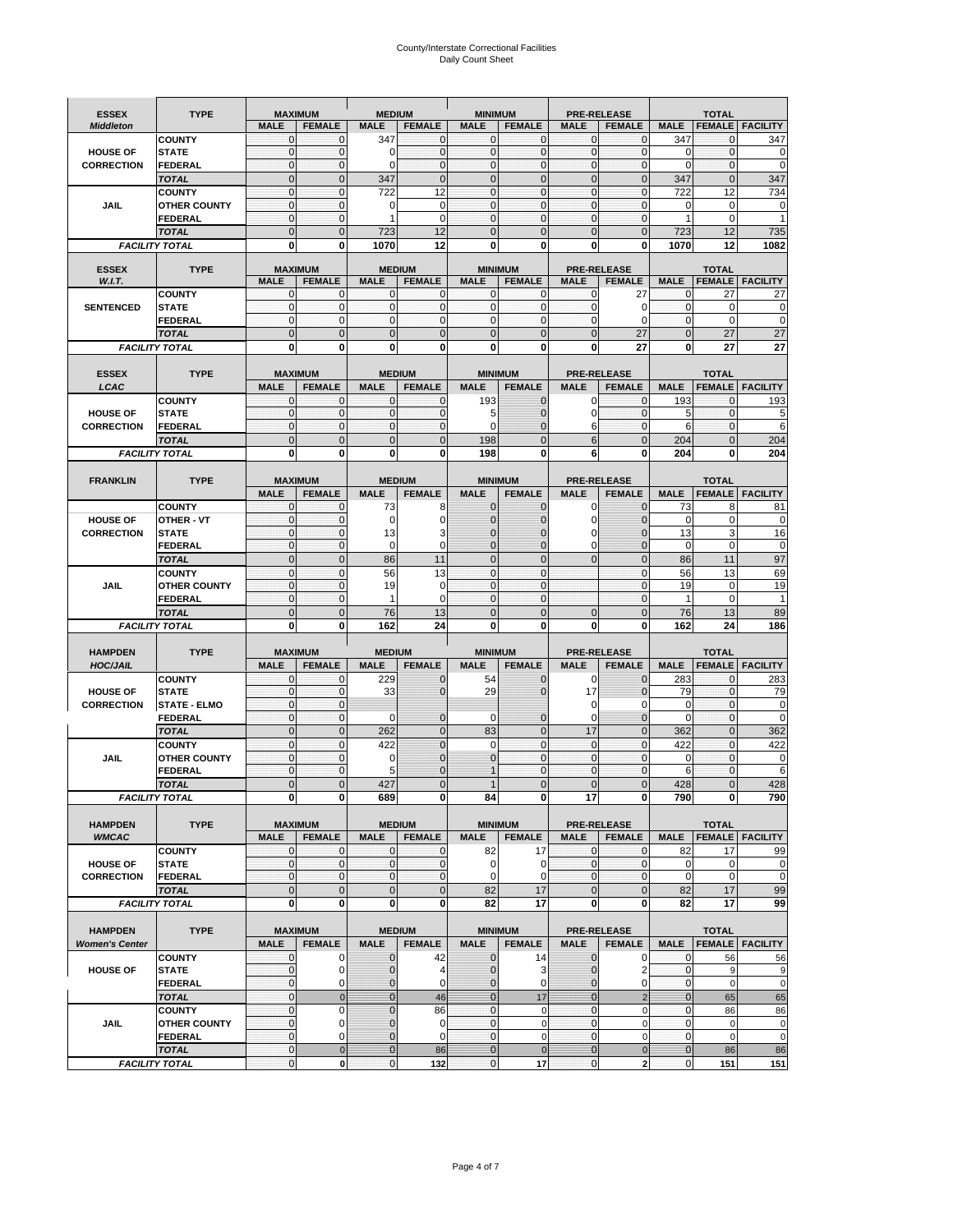# County/Interstate Correctional Facilities Daily Count Sheet

| <b>ESSEX</b>          | <b>TYPE</b>                           |                               |                             | <b>MEDIUM</b>                 |                             |                               |                             |                              |                                     |                            | <b>TOTAL</b>                   |                          |
|-----------------------|---------------------------------------|-------------------------------|-----------------------------|-------------------------------|-----------------------------|-------------------------------|-----------------------------|------------------------------|-------------------------------------|----------------------------|--------------------------------|--------------------------|
| <b>Middleton</b>      |                                       | <b>MAXIMUM</b><br><b>MALE</b> | <b>FEMALE</b>               | <b>MALE</b>                   | <b>FEMALE</b>               | <b>MINIMUM</b><br><b>MALE</b> | <b>FEMALE</b>               | <b>MALE</b>                  | <b>PRE-RELEASE</b><br><b>FEMALE</b> | <b>MALE</b>                |                                | <b>FEMALE   FACILITY</b> |
|                       | <b>COUNTY</b>                         | $\mathbf 0$                   | $\overline{0}$              | 347                           | $\mathbf{0}$                | $\mathbf{0}$                  | 0                           | $\mathbf 0$                  | $\mathbf 0$                         | 347                        | 0                              | 347                      |
| <b>HOUSE OF</b>       | <b>STATE</b>                          | $\mathbf{0}$                  | $\mathbf 0$                 | 0                             | $\mathbf 0$                 | $\mathbf{O}$                  | $\mathbf{0}$                | $\mathbf 0$                  | $\mathbf 0$                         | 0                          | $\mathbf 0$                    | $\mathbf 0$              |
| <b>CORRECTION</b>     | <b>FEDERAL</b>                        | $\mathbf 0$                   | $\mathbf{0}$                | $\Omega$                      | $\mathbf{0}$                | $\mathbf{O}$                  | 0                           | $\mathbf 0$                  | $\mathbf 0$                         | $\mathbf 0$                | $\mathbf{0}$                   | $\mathbf 0$              |
|                       | <b>TOTAL</b>                          | $\mathbf 0$                   | $\mathbf{0}$                | 347                           | $\mathbf{0}$                | $\mathbf{0}$                  | $\overline{0}$              | $\mathbf{0}$<br>$\mathbf{0}$ | $\overline{0}$                      | 347<br>722                 | $\mathbf 0$<br>12              | 347                      |
| <b>JAIL</b>           | <b>COUNTY</b><br><b>OTHER COUNTY</b>  | $\mathbf{0}$<br>$\mathbf{0}$  | $\mathbf 0$<br>$\mathbf 0$  | 722<br>$\Omega$               | 12<br>$\mathbf 0$           | $\mathbf 0$<br>$\mathbf{O}$   | $\mathbf 0$<br>$\mathbf{0}$ | $\mathbf 0$                  | 0<br>$\mathbf 0$                    | 0                          | 0                              | 734<br>0                 |
|                       | <b>FEDERAL</b>                        | $\pmb{0}$                     | $\mathbf 0$                 | $\mathbf{1}$                  | $\mathbf 0$                 | $\mathbf 0$                   | $\mathbf{0}$                | 0                            | 0                                   | 1                          | 0                              | $\mathbf{1}$             |
|                       | <b>TOTAL</b>                          | $\overline{0}$                | $\Omega$                    | 723                           | 12                          | $\Omega$                      | $\Omega$                    | $\Omega$                     | $\overline{0}$                      | 723                        | 12                             | 735                      |
|                       | <b>FACILITY TOTAL</b>                 | 0                             | 0                           | 1070                          | 12                          | 0                             | O                           | 0                            | 0                                   | 1070                       | 12                             | 1082                     |
| <b>ESSEX</b>          | <b>TYPE</b>                           | <b>MAXIMUM</b>                |                             |                               | <b>MEDIUM</b>               |                               | <b>MINIMUM</b>              |                              | <b>PRE-RELEASE</b>                  |                            | <b>TOTAL</b>                   |                          |
| W.I.T.                |                                       | <b>MALE</b>                   | <b>FEMALE</b>               | <b>MALE</b>                   | <b>FEMALE</b>               | <b>MALE</b>                   | <b>FEMALE</b>               | <b>MALE</b>                  | <b>FEMALE</b>                       | <b>MALE</b>                | <b>FEMALE</b>                  | <b>FACILITY</b>          |
|                       | <b>COUNTY</b>                         | 0                             | 0                           | $\mathbf{0}$                  | 0                           | 0                             | $\mathbf 0$                 | 0                            | 27                                  | $\mathbf{0}$               | 27                             | 27                       |
| <b>SENTENCED</b>      | <b>STATE</b>                          | $\mathbf{0}$                  | $\mathbf 0$                 | $\mathbf{0}$                  | $\mathbf{O}$                | $\mathbf{O}$                  | $\mathbf{0}$                | $\mathbf{0}$                 | 0                                   | $\mathbf{0}$               | $\mathbf 0$                    | $\mathbf 0$              |
|                       | <b>FEDERAL</b>                        | $\mathbf{0}$                  | $\Omega$                    | $\mathbf{0}$                  | $\mathbf{0}$                | $\Omega$                      | $\mathbf 0$                 | $\mathbf{0}$                 | $\Omega$                            | $\mathbf{0}$               | 0                              | $\mathbf 0$              |
|                       | <b>TOTAL</b><br><b>FACILITY TOTAL</b> | $\overline{0}$<br>0           | $\Omega$<br>0               | $\overline{0}$<br>0           | $\mathbf 0$<br>$\bf{0}$     | $\mathbf{0}$<br>0             | $\overline{0}$<br>$\bf{0}$  | $\Omega$<br>0                | 27<br>27                            | $\overline{0}$<br>0        | 27<br>27                       | 27<br>27                 |
|                       |                                       |                               |                             |                               |                             |                               |                             |                              |                                     |                            |                                |                          |
| <b>ESSEX</b>          | <b>TYPE</b>                           | <b>MAXIMUM</b>                |                             |                               | <b>MEDIUM</b>               |                               | <b>MINIMUM</b>              |                              | <b>PRE-RELEASE</b>                  |                            | <b>TOTAL</b>                   |                          |
| LCAC                  |                                       | <b>MALE</b>                   | <b>FEMALE</b>               | <b>MALE</b>                   | <b>FEMALE</b>               | <b>MALE</b>                   | <b>FEMALE</b>               | <b>MALE</b>                  | <b>FEMALE</b>                       | <b>MALE</b>                | <b>FEMALE</b>                  | <b>FACILITY</b>          |
|                       | <b>COUNTY</b>                         | $\mathbf 0$                   | $\overline{0}$              | $\mathbf{0}$                  | $\mathbf 0$                 | 193                           | $\mathbf 0$                 | 0                            | $\mathbf 0$                         | 193                        | $\mathbf{0}$                   | 193                      |
| <b>HOUSE OF</b>       | <b>STATE</b>                          | $\mathbf{0}$                  | $\Omega$                    | $\mathbf{0}$                  | $\mathbf 0$                 | 5                             | $\mathbf 0$                 | 0                            | $\mathbf{0}$                        | 5                          | $\mathbf{0}$                   | 5                        |
| <b>CORRECTION</b>     | <b>FEDERAL</b><br><b>TOTAL</b>        | $\mathbf 0$<br>$\overline{0}$ | $\mathbf 0$<br>$\mathbf{0}$ | $\mathbf{0}$<br>$\mathbf 0$   | $\mathbf{0}$<br>$\mathbf 0$ | $\mathbf 0$<br>198            | 0<br>$\overline{0}$         | 6<br>6                       | $\mathbf{0}$<br>$\overline{0}$      | 6<br>204                   | $\mathbf{0}$<br>$\overline{0}$ | 6<br>204                 |
|                       | <b>FACILITY TOTAL</b>                 | 0                             | 0                           | 0                             | 0                           | 198                           | O                           | 6                            | 0                                   | 204                        | 0                              | 204                      |
|                       |                                       |                               |                             |                               |                             |                               |                             |                              |                                     |                            |                                |                          |
| <b>FRANKLIN</b>       | <b>TYPE</b>                           | <b>MAXIMUM</b>                |                             |                               | <b>MEDIUM</b>               |                               | <b>MINIMUM</b>              |                              | <b>PRE-RELEASE</b>                  |                            | <b>TOTAL</b>                   |                          |
|                       |                                       | <b>MALE</b>                   | <b>FEMALE</b>               | <b>MALE</b>                   | <b>FEMALE</b>               | <b>MALE</b>                   | <b>FEMALE</b>               | <b>MALE</b>                  | <b>FEMALE</b>                       | <b>MALE</b>                | <b>FEMALE</b>                  | <b>FACILITY</b>          |
|                       | <b>COUNTY</b>                         | $\mathbf{0}$                  | $\mathbf 0$                 | 73                            | 8                           | $\mathbf{0}$                  | $\mathbf 0$                 | 0                            | $\overline{0}$                      | 73                         | 8                              | 81                       |
| <b>HOUSE OF</b>       | OTHER - VT                            | $\mathbf 0$<br>$\mathbf{0}$   | $\mathbf{0}$<br>$\mathbf 0$ | 0                             | $\mathbf 0$<br>3            | $\Omega$<br>$\Omega$          | $\mathbf{0}$<br>0           | 0<br>0                       | $\Omega$<br>0                       | $\mathbf 0$<br>13          | 0<br>3                         | 0                        |
| <b>CORRECTION</b>     | <b>STATE</b><br><b>FEDERAL</b>        | $\mathbf{0}$                  | $\mathbf 0$                 | 13<br>$\mathbf 0$             | $\mathbf 0$                 | $\Omega$                      | $\overline{0}$              | 0                            | 0                                   | $\mathbf 0$                | 0                              | 16<br>$\mathbf 0$        |
|                       | <b>TOTAL</b>                          | $\overline{0}$                | $\mathbf{0}$                | 86                            | 11                          | $\mathbf{0}$                  | $\overline{0}$              | $\Omega$                     | $\overline{0}$                      | 86                         | 11                             | 97                       |
|                       | <b>COUNTY</b>                         | $\mathbf{0}$                  | 0                           | 56                            | 13                          | $\mathbf{0}$                  | $\mathbf{0}$                |                              | $\mathbf 0$                         | 56                         | 13                             | 69                       |
| <b>JAIL</b>           | <b>OTHER COUNTY</b>                   | $\mathbf 0$                   | $\Omega$                    | 19                            | $\Omega$                    | $\Omega$                      | $\Omega$                    |                              | $\Omega$                            | 19                         | $\mathbf 0$                    | 19                       |
|                       | <b>FEDERAL</b>                        | $\mathbf{0}$                  | $\mathbf 0$                 | $\mathbf{1}$                  | $\mathbf 0$                 | $\mathbf{O}$                  | $\mathbf 0$                 |                              | $\mathbf 0$                         | $\mathbf{1}$               | $\mathbf 0$                    | $\mathbf{1}$             |
|                       | <b>TOTAL</b>                          | $\mathbf 0$<br>$\mathbf 0$    | $\overline{0}$<br>0         | 76<br>162                     | 13<br>24                    | $\mathbf{0}$<br>0             | $\mathbf 0$<br>Ò            | $\mathbf 0$<br>0             | $\mathbf 0$<br>0                    | 76<br>162                  | 13<br>24                       | 89                       |
|                       | <b>FACILITY TOTAL</b>                 |                               |                             |                               |                             |                               |                             |                              |                                     |                            |                                | 186                      |
| <b>HAMPDEN</b>        | <b>TYPE</b>                           | <b>MAXIMUM</b>                |                             | <b>MEDIUM</b>                 |                             | <b>MINIMUM</b>                |                             |                              | <b>PRE-RELEASE</b>                  |                            | <b>TOTAL</b>                   |                          |
| <b>HOC/JAIL</b>       |                                       | <b>MALE</b>                   | <b>FEMALE</b>               | <b>MALE</b>                   | <b>FEMALE</b>               | <b>MALE</b>                   | <b>FEMALE</b>               | <b>MALE</b>                  | <b>FEMALE</b>                       | <b>MALE</b>                | <b>FEMALE</b>                  | <b>FACILITY</b>          |
|                       | <b>COUNTY</b>                         | $\mathbf{0}$                  | $\mathbf 0$                 | 229                           | $\mathbf{0}$                | 54                            | $\mathbf 0$                 | 0                            | 0                                   | 283                        | $\mathbf{0}$                   | 283                      |
| <b>HOUSE OF</b>       | <b>STATE</b>                          | $\mathbf{0}$<br>$\mathbf{0}$  | $\mathbf{0}$                | 33                            | $\mathbf 0$                 | 29                            | $\mathbf{0}$                | 17                           | $\overline{0}$                      | 79                         | $\pmb{0}$<br>$\mathbf 0$       | 79                       |
| <b>CORRECTION</b>     | <b>STATE - ELMO</b><br>FEDERAL        | $\mathbf{0}$                  | $\mathbf 0$<br>$\mathbf{0}$ | $\Omega$                      | $\mathbf{0}$                | $\mathbf 0$                   | $\mathbf{0}$                | 0<br>$\Omega$                | 0<br>0                              | $\mathbf 0$<br>$\mathbf 0$ | $\mathbf 0$                    | $\mathbf 0$<br>0         |
|                       | <b>TOTAL</b>                          | $\mathbf 0$                   | $\mathbf{0}$                | 262                           | $\mathbf 0$                 | 83                            | $\mathbf 0$                 | 17                           | $\overline{0}$                      | 362                        | $\overline{0}$                 | 362                      |
|                       | <b>COUNTY</b>                         | $\mathbf 0$                   | $\mathbf{0}$                | 422                           | $\mathbf 0$                 | $\Omega$                      | $\Omega$                    | $\Omega$                     | 0                                   | 422                        | $\mathbf 0$                    | 422                      |
| <b>JAIL</b>           | <b>OTHER COUNTY</b>                   | $\mathbf{0}$                  | $\mathbf{0}$                | 0                             | $\mathbf{0}$                | $\mathbf{0}$                  | $\mathbf 0$                 | $\mathbf{0}$                 | $\mathbf 0$                         | $\mathbf 0$                | $\mathbf 0$                    | $\mathbf 0$              |
|                       | <b>FEDERAL</b>                        | $\mathbf 0$                   | $\Omega$                    | 5                             | $\mathbf{0}$                | $\mathbf 1$                   | $\mathbf 0$                 | $\Omega$                     | 0                                   | 6                          | $\mathbf 0$                    | 6                        |
|                       | <b>TOTAL</b>                          | $\overline{0}$                | $\Omega$                    | 427                           | $\overline{0}$              |                               | $\Omega$                    | $\Omega$                     | $\overline{0}$                      | 428                        | $\Omega$                       | 428                      |
|                       | <b>FACILITY TOTAL</b>                 | $\mathbf{0}$                  | 0                           | 689                           | 0                           | 84                            | 0                           | 17                           | 0                                   | 790                        | 0                              | 790                      |
| <b>HAMPDEN</b>        | <b>TYPE</b>                           |                               | <b>MAXIMUM</b>              |                               | <b>MEDIUM</b>               |                               | <b>MINIMUM</b>              |                              | PRE-RELEASE                         |                            | <b>TOTAL</b>                   |                          |
| <b>WMCAC</b>          |                                       | <b>MALE</b>                   | <b>FEMALE</b>               | <b>MALE</b>                   | <b>FEMALE</b>               | <b>MALE</b>                   | <b>FEMALE</b>               | <b>MALE</b>                  | <b>FEMALE</b>                       | <b>MALE</b>                | <b>FEMALE</b>                  | <b>FACILITY</b>          |
|                       | <b>COUNTY</b>                         | $\mathbf 0$                   | $\mathbf 0$                 | $\mathbf 0$                   | 0                           | 82                            | 17                          | $\mathbf 0$                  | $\mathbf 0$                         | 82                         | 17                             | 99                       |
| <b>HOUSE OF</b>       | <b>STATE</b>                          | $\mathbf 0$                   | $\mathbf 0$                 | $\overline{0}$                | $\pmb{0}$                   | $\mathbf 0$                   | $\mathbf 0$                 | $\mathbf{0}$                 | $\mathbf 0$                         | 0                          | 0                              | 0                        |
| <b>CORRECTION</b>     | <b>FEDERAL</b><br><b>TOTAL</b>        | $\pmb{0}$<br>$\pmb{0}$        | $\mathbf{O}$<br>$\mathbf 0$ | $\overline{0}$<br>$\mathbf 0$ | $\mathbf 0$<br>$\mathbf 0$  | $\mathbf 0$<br>82             | $\mathbf 0$<br>17           | $\mathbf 0$<br>$\mathbf 0$   | $\mathbf 0$<br>$\mathbf 0$          | $\mathbf 0$<br>82          | $\mathbf 0$<br>17              | $\mathbf 0$<br>99        |
|                       | <b>FACILITY TOTAL</b>                 | 0                             | $\mathbf 0$                 | $\mathbf{0}$                  | $\mathbf{0}$                | 82                            | 17                          | 0                            | 0                                   | 82                         | 17                             | 99                       |
|                       |                                       |                               |                             |                               |                             |                               |                             |                              |                                     |                            |                                |                          |
| <b>HAMPDEN</b>        | <b>TYPE</b>                           |                               | <b>MAXIMUM</b>              |                               | <b>MEDIUM</b>               |                               | <b>MINIMUM</b>              |                              | <b>PRE-RELEASE</b>                  |                            | <b>TOTAL</b>                   |                          |
| <b>Women's Center</b> |                                       | <b>MALE</b>                   | <b>FEMALE</b>               | <b>MALE</b>                   | <b>FEMALE</b>               | <b>MALE</b>                   | <b>FEMALE</b>               | <b>MALE</b>                  | <b>FEMALE</b>                       | <b>MALE</b>                | <b>FEMALE</b>                  | <b>FACILITY</b>          |
|                       | <b>COUNTY</b>                         | 0                             | 0                           | 0                             | 42                          | $\mathbf 0$                   | 14                          | 0                            | 0                                   | 0                          | 56                             | 56                       |
| <b>HOUSE OF</b>       | <b>STATE</b>                          | $\pmb{0}$<br>$\pmb{0}$        | 0<br>0                      | $\mathbf{0}$<br>0             | 4<br>0                      | $\mathbf{0}$<br>$\mathbf 0$   | 3<br>0                      | $\mathbf{0}$                 | 2<br>0                              | $\mathbf{0}$<br>0          | 9<br>$\mathbf 0$               | 9<br>$\mathbf 0$         |
|                       | <b>FEDERAL</b><br><b>TOTAL</b>        | $\mathbf 0$                   | $\mathbf 0$                 | $\overline{0}$                | 46                          | $\overline{0}$                | 17                          | 0<br>$\mathbf{0}$            | $\overline{c}$                      | $\bf{0}$                   | 65                             | 65                       |
|                       | <b>COUNTY</b>                         | $\mathbf 0$                   | $\Omega$                    | $\overline{0}$                | 86                          | $\mathbf 0$                   | $\mathbf 0$                 | $\Omega$                     | 0                                   | $\mathbf{0}$               | 86                             | 86                       |
| JAIL                  | <b>OTHER COUNTY</b>                   | 0                             | $\mathbf 0$                 | 0                             | 0                           | $\mathbf 0$                   | 0                           | $\mathbf{0}$                 | 0                                   | $\pmb{0}$                  | 0                              | $\pmb{0}$                |
|                       | <b>FEDERAL</b>                        | 0                             | 0                           | 0                             | 0                           | $\mathbf 0$                   | 0                           | $\mathbf 0$                  | 0                                   | $\pmb{0}$                  | $\pmb{0}$                      | $\pmb{0}$                |
|                       | <b>TOTAL</b>                          | 0                             | $\mathbf 0$                 | $\mathbf{0}$                  | 86                          | $\mathbf{0}$                  | $\mathbf{0}$                | $\mathbf{0}$                 | $\pmb{0}$                           | $\bf{0}$                   | 86                             | 86                       |
|                       | <b>FACILITY TOTAL</b>                 | 0                             | $\mathbf{0}$                | $\pmb{0}$                     | 132                         | $\mathbf 0$                   | 17                          | $\mathbf 0$                  | 2                                   | $\pmb{0}$                  | 151                            | 151                      |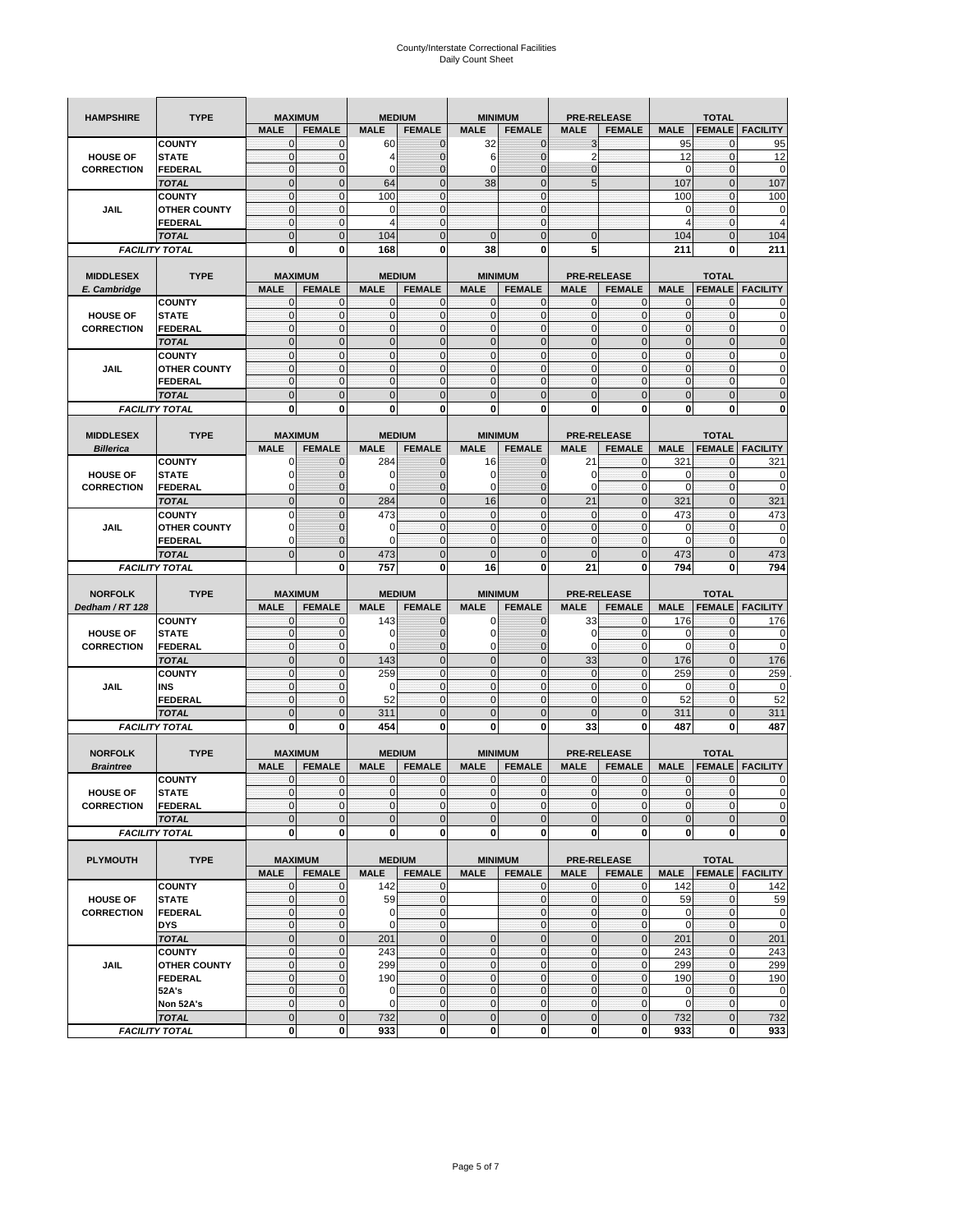| <b>HAMPSHIRE</b>                   | <b>TYPE</b>                           | <b>MAXIMUM</b>                |                              |                    | <b>MEDIUM</b>                  |                              | <b>MINIMUM</b>                   |                             | <b>PRE-RELEASE</b>                  |                    | <b>TOTAL</b>                  |                          |
|------------------------------------|---------------------------------------|-------------------------------|------------------------------|--------------------|--------------------------------|------------------------------|----------------------------------|-----------------------------|-------------------------------------|--------------------|-------------------------------|--------------------------|
|                                    |                                       | <b>MALE</b>                   | <b>FEMALE</b>                | <b>MALE</b>        | <b>FEMALE</b>                  | <b>MALE</b>                  | <b>FEMALE</b>                    | <b>MALE</b>                 | <b>FEMALE</b>                       | <b>MALE</b>        | <b>FEMALE</b>                 | <b>FACILITY</b>          |
|                                    | <b>COUNTY</b>                         | 0                             | $\mathbf 0$                  | 60                 | $\mathbf 0$                    | 32                           | $\mathbf{0}$                     | 3                           |                                     | 95                 | $\mathbf{0}$                  | 95                       |
| <b>HOUSE OF</b>                    | <b>STATE</b>                          | $\pmb{0}$                     | $\mathbf 0$                  | 4                  | $\mathbf{0}$                   | 6                            | $\overline{0}$                   | $\overline{2}$              |                                     | 12                 | $\mathbf 0$                   | 12                       |
| <b>CORRECTION</b>                  | <b>FEDERAL</b>                        | $\mathbf 0$                   | $\pmb{0}$                    | 0                  | $\mathbf{0}$                   | 0                            | $\mathbf{0}$                     | 0                           |                                     | $\mathbf 0$        | $\mathbf 0$                   | 0                        |
|                                    | <b>TOTAL</b>                          | $\mathbf{0}$                  | $\overline{0}$               | 64                 | $\mathbf{0}$                   | 38                           | $\mathbf{0}$                     | 5                           |                                     | 107                | $\mathbf{0}$                  | 107                      |
|                                    | <b>COUNTY</b>                         | $\mathbf{0}$                  | $\mathbf 0$                  | 100                | $\mathbf{0}$                   |                              | $\mathbf{0}$                     |                             |                                     | 100                | $\mathbf 0$                   | 100                      |
| <b>JAIL</b>                        | <b>OTHER COUNTY</b>                   | $\mathbf{0}$                  | 0                            | $\Omega$           | $\mathbf{0}$                   |                              | $\mathbf{0}$                     |                             |                                     | 0                  | 0                             | 0                        |
|                                    | <b>FEDERAL</b>                        | $\mathbf{0}$                  | $\mathbf 0$                  | $\overline{4}$     | $\mathbf{0}$                   |                              | $\mathbf{0}$                     |                             |                                     | 4                  | $\mathbf{0}$                  | $\overline{4}$           |
|                                    | <b>TOTAL</b>                          | $\mathbf{0}$                  | $\mathbf 0$                  | 104                | $\mathbf 0$                    | $\mathbf 0$                  | $\mathbf{0}$                     | $\mathbf 0$                 |                                     | 104                | $\mathbf 0$                   | 104                      |
|                                    | <b>FACILITY TOTAL</b>                 | 0                             | 0                            | 168                | 0                              | 38                           | 0                                | 5                           |                                     | 211                | 0                             | 211                      |
|                                    |                                       |                               |                              |                    |                                |                              |                                  |                             |                                     |                    |                               |                          |
| <b>MIDDLESEX</b>                   | <b>TYPE</b>                           | <b>MAXIMUM</b><br><b>MALE</b> | <b>FEMALE</b>                | <b>MALE</b>        | <b>MEDIUM</b><br><b>FEMALE</b> | <b>MALE</b>                  | <b>MINIMUM</b><br><b>FEMALE</b>  | <b>MALE</b>                 | <b>PRE-RELEASE</b><br><b>FEMALE</b> | <b>MALE</b>        | <b>TOTAL</b><br><b>FEMALE</b> | <b>FACILITY</b>          |
| E. Cambridge                       | <b>COUNTY</b>                         | $\mathbf{0}$                  | 0                            | $\Omega$           | $\mathbf 0$                    | 0                            | $\mathbf{0}$                     | 0                           | 0                                   | 0                  | 0                             | 0                        |
| <b>HOUSE OF</b>                    | <b>STATE</b>                          | $\pmb{0}$                     | $\mathbf{0}$                 | $\mathbf 0$        | $\bf{0}$                       | $\mathbf 0$                  | $\mathbf{0}$                     | 0                           | $\mathbf{0}$                        | $\pmb{0}$          | $\bf{0}$                      | 0                        |
| <b>CORRECTION</b>                  | <b>FEDERAL</b>                        | $\mathbf{0}$                  | $\mathbf 0$                  | $\mathbf 0$        | $\mathbf 0$                    | $\mathbf{0}$                 | $\mathbf{0}$                     | $\mathbf 0$                 | $\mathbf{0}$                        | $\mathbf{0}$       | $\mathbf 0$                   | $\mathbf 0$              |
|                                    | <b>TOTAL</b>                          | $\mathbf{0}$                  | $\mathbf 0$                  | $\overline{0}$     | $\mathbf{0}$                   | $\mathbf 0$                  | $\mathbf{0}$                     | $\mathbf{0}$                | $\mathbf 0$                         | $\pmb{0}$          | $\mathbf{0}$                  | $\mathbf 0$              |
|                                    | <b>COUNTY</b>                         | $\mathbf{0}$                  | $\mathbf{0}$                 | $\mathbf 0$        | $\mathbf{0}$                   | $\mathbf{0}$                 | $\mathbf{0}$                     | $\mathbf 0$                 | $\mathbf{0}$                        | $\mathbf{0}$       | $\mathbf{0}$                  | $\mathbf 0$              |
| JAIL                               | <b>OTHER COUNTY</b>                   | $\mathbf{0}$                  | $\mathbf{0}$                 | $\mathbf 0$        | 0                              | $\mathbf{0}$                 | $\mathbf{0}$                     | $\mathbf{0}$                | 0                                   | $\pmb{0}$          | 0                             | 0                        |
|                                    | <b>FEDERAL</b>                        | $\mathbf{0}$                  | $\mathbf 0$                  | $\mathbf 0$        | $\mathbf{0}$                   | $\mathbf{0}$                 | $\mathbf{0}$                     | $\mathbf{0}$                | $\mathbf 0$                         | $\mathbf{0}$       | $\mathbf{0}$                  | 0                        |
|                                    | <b>TOTAL</b>                          | $\overline{0}$                | $\overline{0}$               | $\overline{0}$     | $\mathbf{0}$                   | $\overline{0}$               | $\mathbf{0}$                     | $\overline{0}$              | $\overline{0}$                      | $\pmb{0}$          | $\overline{0}$                | $\overline{0}$           |
|                                    | <b>FACILITY TOTAL</b>                 | 0                             | 0                            | $\bf{0}$           | 0                              | 0                            | 0                                | 0                           | 0                                   | 0                  | 0                             | 0                        |
|                                    |                                       |                               |                              |                    |                                |                              |                                  |                             |                                     |                    |                               |                          |
| <b>MIDDLESEX</b>                   | <b>TYPE</b>                           | <b>MAXIMUM</b>                |                              |                    | <b>MEDIUM</b>                  |                              | <b>MINIMUM</b>                   |                             | <b>PRE-RELEASE</b>                  |                    | <b>TOTAL</b>                  |                          |
| <b>Billerica</b>                   |                                       | <b>MALE</b>                   | <b>FEMALE</b>                | <b>MALE</b>        | <b>FEMALE</b>                  | <b>MALE</b>                  | <b>FEMALE</b>                    | <b>MALE</b>                 | <b>FEMALE</b>                       | <b>MALE</b>        | <b>FEMALE</b>                 | <b>FACILITY</b>          |
|                                    | <b>COUNTY</b>                         | 0                             | $\mathbf{0}$                 | 284                | 0                              | 16                           | 0                                | 21                          | 0                                   | 321                | 0                             | 321                      |
| <b>HOUSE OF</b>                    | <b>STATE</b>                          | O                             | $\overline{0}$               | O                  | $\mathbf 0$                    | 0                            | $\mathbf 0$                      | 0                           | $\mathbf{0}$                        | 0                  | $\mathbf{0}$                  | 0                        |
| <b>CORRECTION</b>                  | <b>FEDERAL</b>                        | $\Omega$                      | 0                            | $\epsilon$         | $\mathbf{0}$                   | 0                            | $\mathbf{0}$                     | 0                           | $\mathbf 0$                         | $\mathbf 0$        | $\mathbf 0$                   | $\mathbf 0$              |
|                                    | <b>TOTAL</b>                          | $\mathbf{0}$                  | $\mathbf 0$                  | 284                | $\pmb{0}$                      | 16                           | $\mathbf{0}$                     | 21                          | $\mathbf 0$                         | 321                | $\mathbf{0}$                  | 321                      |
|                                    | <b>COUNTY</b>                         | $\Omega$                      | $\mathbf 0$                  | 473                | $\mathbf{0}$                   | $\mathbf 0$                  | $\mathbf{0}$                     | $\mathbf{0}$                | $\mathbf{0}$                        | 473                | $\mathbf{0}$                  | 473                      |
| JAIL                               | <b>OTHER COUNTY</b><br><b>FEDERAL</b> | 0<br>0                        | $\mathbf{0}$<br>$\mathbf{0}$ | O<br>$\sqrt{ }$    | $\mathbf 0$<br>$\mathbf{0}$    | $\mathbf{0}$<br>$\mathbf{0}$ | $\mathbf{0}$<br>0                | $\mathbf{0}$<br>$\mathbf 0$ | 0<br>$\mathbf 0$                    | 0<br>$\Omega$      | 0<br>$\mathbf 0$              | 0<br>$\mathbf 0$         |
|                                    | <b>TOTAL</b>                          | $\Omega$                      | $\overline{0}$               | 473                | $\mathbf{0}$                   | $\overline{0}$               | $\mathbf{0}$                     | $\overline{0}$              | $\overline{0}$                      | 473                | $\mathbf{0}$                  | 473                      |
|                                    | <b>FACILITY TOTAL</b>                 |                               | 0                            | 757                | 0                              | 16                           | 0                                | 21                          | 0                                   | 794                | 0                             | 794                      |
|                                    |                                       |                               |                              |                    |                                |                              |                                  |                             |                                     |                    |                               |                          |
|                                    |                                       |                               |                              |                    |                                |                              |                                  |                             |                                     |                    |                               |                          |
| <b>NORFOLK</b>                     | <b>TYPE</b>                           | <b>MAXIMUM</b>                |                              |                    | <b>MEDIUM</b>                  |                              | <b>MINIMUM</b>                   |                             | <b>PRE-RELEASE</b>                  |                    | <b>TOTAL</b>                  |                          |
| Dedham / RT 128                    |                                       | <b>MALE</b>                   | <b>FEMALE</b>                | <b>MALE</b>        | <b>FEMALE</b>                  | <b>MALE</b>                  | <b>FEMALE</b>                    | <b>MALE</b>                 | <b>FEMALE</b>                       | <b>MALE</b>        | <b>FEMALE</b>                 | <b>FACILITY</b>          |
|                                    | <b>COUNTY</b>                         | 0                             | $\mathbf{0}$                 | 143                | 0                              | 0                            | 0                                | 33                          | $\mathbf 0$                         | 176                | 0                             | 176                      |
| <b>HOUSE OF</b>                    | <b>STATE</b>                          | $\mathbf{0}$                  | $\mathbf 0$                  | ſ                  | $\mathbf{0}$                   | $\mathbf 0$                  | $\mathbf{0}$                     | 0                           | $\mathbf 0$                         | 0                  | $\mathbf{0}$                  | 0                        |
| <b>CORRECTION</b>                  | <b>FEDERAL</b>                        | $\mathbf{0}$                  | $\mathbf 0$                  | 0                  | $\mathbf{0}$                   | $\mathbf 0$                  | $\overline{0}$                   | $\mathbf 0$                 | $\mathbf 0$                         | $\mathbf 0$        | $\mathbf{0}$                  | $\mathbf 0$              |
|                                    | <b>TOTAL</b>                          | $\mathbf{0}$                  | $\bf 0$                      | 143                | $\pmb{0}$                      | $\mathbf 0$                  | $\mathbf 0$                      | 33                          | $\mathbf 0$                         | 176                | $\mathbf 0$                   | 176                      |
|                                    | <b>COUNTY</b>                         | $\mathbf{0}$                  | 0                            | 259                | $\mathbf{0}$                   | $\mathbf 0$                  | $\mathbf{0}$                     | $\mathbf{0}$                | $\mathbf{0}$                        | 259                | $\mathbf{0}$                  | 259                      |
| JAIL                               | <b>INS</b>                            | $\mathbf{0}$                  | $\mathbf{0}$                 | O                  | $\mathbf{0}$                   | $\mathbf 0$                  | $\mathbf{0}$                     | $\mathbf{0}$                | $\mathbf 0$                         | 0                  | 0                             | 0                        |
|                                    | <b>FEDERAL</b>                        | $\mathbf{0}$                  | $\mathbf{0}$                 | 52                 | $\mathbf 0$                    | $\mathbf 0$                  | $\mathbf{0}$                     | $\mathbf{0}$                | $\mathbf 0$                         | 52                 | $\mathbf 0$                   | 52                       |
|                                    | <b>TOTAL</b>                          | $\mathbf{0}$                  | $\mathbf 0$                  | 311                | $\mathbf{0}$                   | $\overline{0}$               | $\overline{0}$                   | $\overline{0}$              | $\overline{0}$                      | 311                | $\overline{0}$                | 311                      |
|                                    | <b>FACILITY TOTAL</b>                 | 0                             | 0                            | 454                | 0                              | 0                            | $\bf{0}$                         | 33                          | 0                                   | 487                | 0                             | 487                      |
|                                    |                                       |                               |                              |                    |                                |                              |                                  |                             |                                     |                    |                               |                          |
| <b>NORFOLK</b><br><b>Braintree</b> | <b>TYPE</b>                           | <b>MAXIMUM</b><br><b>MALE</b> | <b>FEMALE</b>                | <b>MALE</b>        | <b>MEDIUM</b><br><b>FEMALE</b> | <b>MALE</b>                  | <b>MINIMUM</b><br><b>FEMALE</b>  | <b>MALE</b>                 | PRE-RELEASE<br><b>FEMALE</b>        | <b>MALE</b>        | <b>TOTAL</b><br><b>FEMALE</b> | <b>FACILITY</b>          |
|                                    | <b>COUNTY</b>                         | $\mathbf 0$                   | $\mathbf{0}$                 | $\mathbf 0$        | $\mathbf 0$                    | $\mathbf{0}$                 | $\mathbf{0}$                     | 0                           | $\mathbf 0$                         | $\mathbf 0$        | 0                             | 0                        |
| <b>HOUSE OF</b>                    | <b>STATE</b>                          | $\Omega$                      | $\Omega$                     | $\Omega$           | $\overline{0}$                 | $\mathbf{0}$                 | $\Omega$                         | $\mathbf{0}$                | $\Omega$                            | $\Omega$           | $\Omega$                      | $\Omega$                 |
| <b>CORRECTION</b>                  | <b>FEDERAL</b>                        | $\mathbf 0$                   | $\mathbf 0$                  | $\mathbf 0$        | $\mathbf 0$                    | $\mathbf 0$                  | $\overline{0}$                   | $\pmb{0}$                   | $\mathbf 0$                         | $\overline{0}$     | $\mathbf 0$                   | $\mathbf 0$              |
|                                    | <b>TOTAL</b>                          | $\mathbf 0$                   | $\mathbf 0$                  | $\overline{0}$     | $\pmb{0}$                      | $\overline{0}$               | $\mathbf 0$                      | $\mathbf 0$                 | $\mathbf 0$                         | $\mathbf 0$        | $\mathbf 0$                   | $\mathbf 0$              |
|                                    | <b>FACILITY TOTAL</b>                 | $\mathbf 0$                   | $\bf{0}$                     | 0                  | $\mathbf 0$                    | $\mathbf{0}$                 | <sup>0</sup>                     | 0                           | 0                                   | $\mathbf{0}$       | $\mathbf 0$                   | $\mathbf{0}$             |
|                                    |                                       |                               |                              |                    |                                |                              |                                  |                             |                                     |                    |                               |                          |
| <b>PLYMOUTH</b>                    | <b>TYPE</b>                           |                               | <b>MAXIMUM</b>               |                    | <b>MEDIUM</b>                  |                              | <b>MINIMUM</b>                   |                             | <b>PRE-RELEASE</b>                  |                    | <b>TOTAL</b>                  |                          |
|                                    |                                       | <b>MALE</b>                   | <b>FEMALE</b>                | <b>MALE</b>        | <b>FEMALE</b>                  | <b>MALE</b>                  | <b>FEMALE</b>                    | <b>MALE</b>                 | <b>FEMALE</b>                       | <b>MALE</b>        |                               | <b>FEMALE</b>   FACILITY |
|                                    | <b>COUNTY</b>                         | $\mathbf 0$                   | $\mathbf 0$                  | 142                | 0                              |                              | $\mathbf{0}$                     | $\mathbf 0$                 | $\mathbf 0$                         | 142                | $\mathbf 0$                   | 142                      |
| <b>HOUSE OF</b>                    | <b>STATE</b>                          | $\mathbf{0}$                  | $\mathbf 0$                  | 59                 | $\mathbf 0$                    |                              | $\overline{0}$                   | $\pmb{0}$                   | 0                                   | 59                 | $\mathbf 0$                   | 59                       |
| <b>CORRECTION</b>                  | <b>FEDERAL</b>                        | $\mathbf 0$                   | $\pmb{0}$                    | 0                  | $\mathbf 0$                    |                              | $\overline{0}$                   | $\pmb{0}$                   | $\mathbf 0$                         | $\mathbf 0$        | $\mathbf{0}$                  | $\mathbf 0$              |
|                                    | <b>DYS</b>                            | $\mathbf{0}$                  | $\mathbf 0$                  | $\mathbf 0$        | $\mathbf{0}$                   |                              | $\overline{0}$                   | $\mathbf 0$                 | $\mathbf{0}$                        | $\mathbf 0$        | $\Omega$                      | $\mathbf 0$              |
|                                    | <b>TOTAL</b>                          | $\mathbf 0$                   | $\mathbf 0$                  | 201                | $\mathbf 0$                    | $\mathbf 0$                  | $\mathbf 0$                      | $\mathbf 0$                 | $\mathbf 0$                         | 201                | $\mathbf 0$                   | 201                      |
|                                    | <b>COUNTY</b>                         | $\mathbf 0$                   | $\mathbf 0$                  | 243                | $\mathbf{0}$                   | $\mathbf{0}$                 | $\mathbf{0}$                     | $\mathbf{0}$                | $\mathbf 0$                         | 243                | $\mathbf 0$                   | 243                      |
| <b>JAIL</b>                        | <b>OTHER COUNTY</b>                   | $\mathbf{0}$                  | $\mathbf 0$                  | 299                | $\mathbf 0$                    | $\mathbf{0}$                 | $\mathbf{0}$                     | $\mathbf 0$                 | $\mathbf 0$                         | 299                | $\mathbf 0$                   | 299                      |
|                                    | <b>FEDERAL</b><br>52A's               | $\mathbf 0$<br>$\mathbf 0$    | $\mathbf 0$<br>$\mathbf 0$   | 190<br>$\mathbf 0$ | $\mathbf 0$<br>$\mathbf 0$     | $\mathbf 0$<br>$\mathbf 0$   | $\overline{0}$<br>$\overline{0}$ | $\mathbf 0$<br>$\mathbf 0$  | 0<br>$\mathbf 0$                    | 190<br>$\mathbf 0$ | $\mathbf 0$<br>$\mathbf 0$    | 190<br>$\mathbf 0$       |
|                                    | Non 52A's                             | $\mathbf 0$                   | $\mathbf 0$                  | $\mathbf 0$        | $\mathbf 0$                    | $\mathbf 0$                  | $\overline{0}$                   | $\mathbf 0$                 | $\mathbf 0$                         | $\mathbf 0$        | $\overline{0}$                | $\mathbf 0$              |
|                                    | <b>TOTAL</b>                          | $\mathbf 0$                   | $\mathbf 0$                  | 732                | $\mathbf 0$                    | $\mathbf 0$                  | $\mathbf{0}$                     | $\bf 0$                     | $\mathbf 0$                         | 732                | $\mathbf 0$                   | 732                      |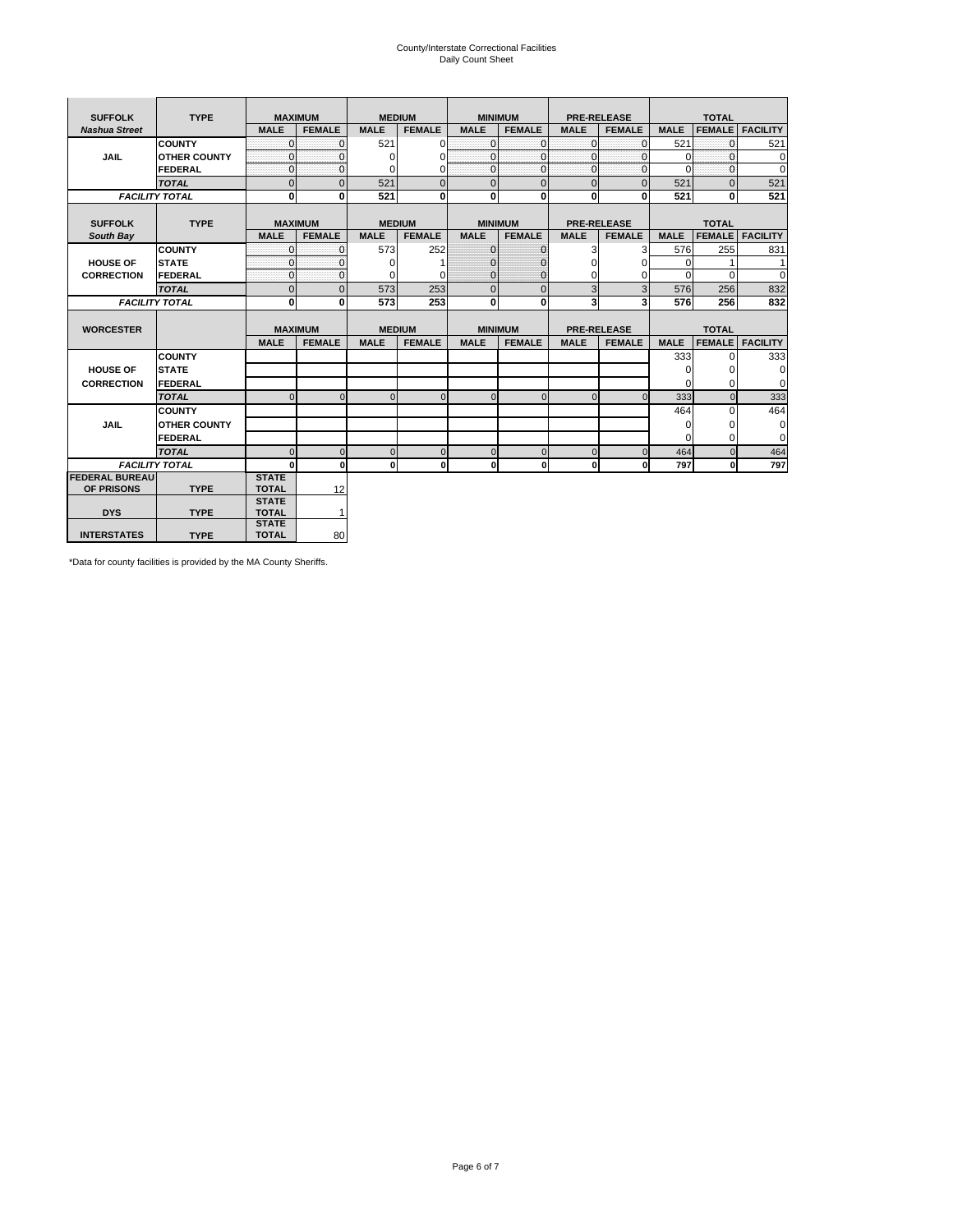# County/Interstate Correctional Facilities Daily Count Sheet

| <b>SUFFOLK</b>        | <b>TYPE</b>           | <b>MAXIMUM</b>               |                | <b>MEDIUM</b> |                | <b>MINIMUM</b> |                |                | <b>PRE-RELEASE</b> |             | <b>TOTAL</b>  |                 |
|-----------------------|-----------------------|------------------------------|----------------|---------------|----------------|----------------|----------------|----------------|--------------------|-------------|---------------|-----------------|
| <b>Nashua Street</b>  |                       | <b>MALE</b>                  | <b>FEMALE</b>  | <b>MALE</b>   | <b>FEMALE</b>  | <b>MALE</b>    | <b>FEMALE</b>  | <b>MALE</b>    | <b>FEMALE</b>      | <b>MALE</b> | <b>FEMALE</b> | <b>FACILITY</b> |
|                       | <b>COUNTY</b>         | $\Omega$                     | $\Omega$       | 521           | 0              | $\mathbf{0}$   | $\Omega$       | $\Omega$       | $\Omega$           | 521         | $\Omega$      | 521             |
| <b>JAIL</b>           | <b>OTHER COUNTY</b>   | $\mathbf{0}$                 | $\Omega$       | $\Omega$      | 0              | $\overline{0}$ | $\mathbf{0}$   | $\Omega$       | $\Omega$           | $\Omega$    | $\Omega$      | $\Omega$        |
|                       | FEDERAL               | $\mathbf{0}$                 | $\mathbf{0}$   | 0             | 0              | $\overline{0}$ | $\mathbf{0}$   | $\mathbf{0}$   | $\mathbf{0}$       | $\Omega$    | $\Omega$      | $\Omega$        |
|                       | <b>TOTAL</b>          | $\mathbf{0}$                 | $\overline{0}$ | 521           | $\Omega$       | $\mathbf{0}$   | $\overline{0}$ | $\mathbf{0}$   | $\Omega$           | 521         | $\Omega$      | 521             |
|                       | <b>FACILITY TOTAL</b> | $\bf{0}$                     | 0              | 521           | 0              | $\mathbf{0}$   | $\bf{0}$       | $\mathbf{0}$   | 0                  | 521         | 0             | 521             |
|                       |                       |                              |                |               |                |                |                |                |                    |             |               |                 |
| <b>SUFFOLK</b>        | <b>TYPE</b>           |                              | <b>MAXIMUM</b> | <b>MEDIUM</b> |                | <b>MINIMUM</b> |                |                | <b>PRE-RELEASE</b> |             | <b>TOTAL</b>  |                 |
| South Bay             |                       | <b>MALE</b>                  | <b>FEMALE</b>  | <b>MALE</b>   | <b>FEMALE</b>  | <b>MALE</b>    | <b>FEMALE</b>  | <b>MALE</b>    | <b>FEMALE</b>      | <b>MALE</b> | <b>FEMALE</b> | <b>FACILITY</b> |
|                       | <b>COUNTY</b>         | $\Omega$                     | $\Omega$       | 573           | 252            | $\mathbf{0}$   | $\mathbf{0}$   | 3              | 3                  | 576         | 255           | 831             |
| <b>HOUSE OF</b>       | <b>STATE</b>          | $\Omega$                     | $\Omega$       | $\Omega$      |                | $\Omega$       | $\Omega$       | $\Omega$       | 0                  | $\Omega$    |               | 1               |
| <b>CORRECTION</b>     | FEDERAL               | $\mathbf{0}$                 | $\mathbf 0$    | 0             | 0              | $\mathbf{0}$   | $\mathbf{0}$   | 0              | $\Omega$           | $\Omega$    | $\Omega$      | 0               |
|                       | <b>TOTAL</b>          | $\mathbf{0}$                 | $\overline{0}$ | 573           | 253            | $\mathbf{0}$   | $\mathbf{0}$   | 3              | 3                  | 576         | 256           | 832             |
|                       | <b>FACILITY TOTAL</b> | $\bf{0}$                     | 0              | 573           | 253            | $\bf{0}$       | 0              | 3              | 3                  | 576         | 256           | 832             |
|                       |                       |                              |                |               |                |                |                |                |                    |             |               |                 |
| <b>WORCESTER</b>      |                       | <b>MAXIMUM</b>               |                | <b>MEDIUM</b> |                | <b>MINIMUM</b> |                |                | <b>PRE-RELEASE</b> |             | <b>TOTAL</b>  |                 |
|                       |                       | <b>MALE</b>                  | <b>FEMALE</b>  | <b>MALE</b>   | <b>FEMALE</b>  | <b>MALE</b>    | <b>FEMALE</b>  | <b>MALE</b>    | <b>FEMALE</b>      | <b>MALE</b> | <b>FEMALE</b> | <b>FACILITY</b> |
|                       | <b>COUNTY</b>         |                              |                |               |                |                |                |                |                    | 333         | $\Omega$      | 333             |
| <b>HOUSE OF</b>       | <b>STATE</b>          |                              |                |               |                |                |                |                |                    | $\Omega$    | $\Omega$      | $\mathbf 0$     |
| <b>CORRECTION</b>     | FEDERAL               |                              |                |               |                |                |                |                |                    | $\Omega$    | $\Omega$      | $\mathbf 0$     |
|                       | <b>TOTAL</b>          | $\Omega$                     | $\Omega$       | $\Omega$      | $\Omega$       | $\Omega$       | $\Omega$       | $\Omega$       | $\Omega$           | 333         | $\Omega$      | 333             |
|                       | <b>COUNTY</b>         |                              |                |               |                |                |                |                |                    | 464         | $\Omega$      | 464             |
| <b>JAIL</b>           | <b>OTHER COUNTY</b>   |                              |                |               |                |                |                |                |                    | $\Omega$    | $\Omega$      | 0               |
|                       | FEDERAL               |                              |                |               |                |                |                |                |                    | $\Omega$    | $\Omega$      | $\mathbf 0$     |
|                       | <b>TOTAL</b>          | $\Omega$                     | $\mathbf 0$    | $\Omega$      | $\overline{0}$ | $\mathbf{0}$   | 0              | $\overline{0}$ | $\Omega$           | 464         | $\Omega$      | 464             |
|                       | <b>FACILITY TOTAL</b> | $\bf{0}$                     | $\mathbf{0}$   | $\mathbf{0}$  | 0              | 0              | $\mathbf{0}$   | $\mathbf{0}$   | 0                  | 797         | $\bf{0}$      | 797             |
| <b>FEDERAL BUREAU</b> |                       | <b>STATE</b>                 |                |               |                |                |                |                |                    |             |               |                 |
| OF PRISONS            | <b>TYPE</b>           | <b>TOTAL</b>                 | 12             |               |                |                |                |                |                    |             |               |                 |
|                       |                       | <b>STATE</b>                 |                |               |                |                |                |                |                    |             |               |                 |
|                       |                       |                              |                |               |                |                |                |                |                    |             |               |                 |
| <b>DYS</b>            | <b>TYPE</b>           | <b>TOTAL</b><br><b>STATE</b> | 1              |               |                |                |                |                |                    |             |               |                 |

\*Data for county facilities is provided by the MA County Sheriffs.